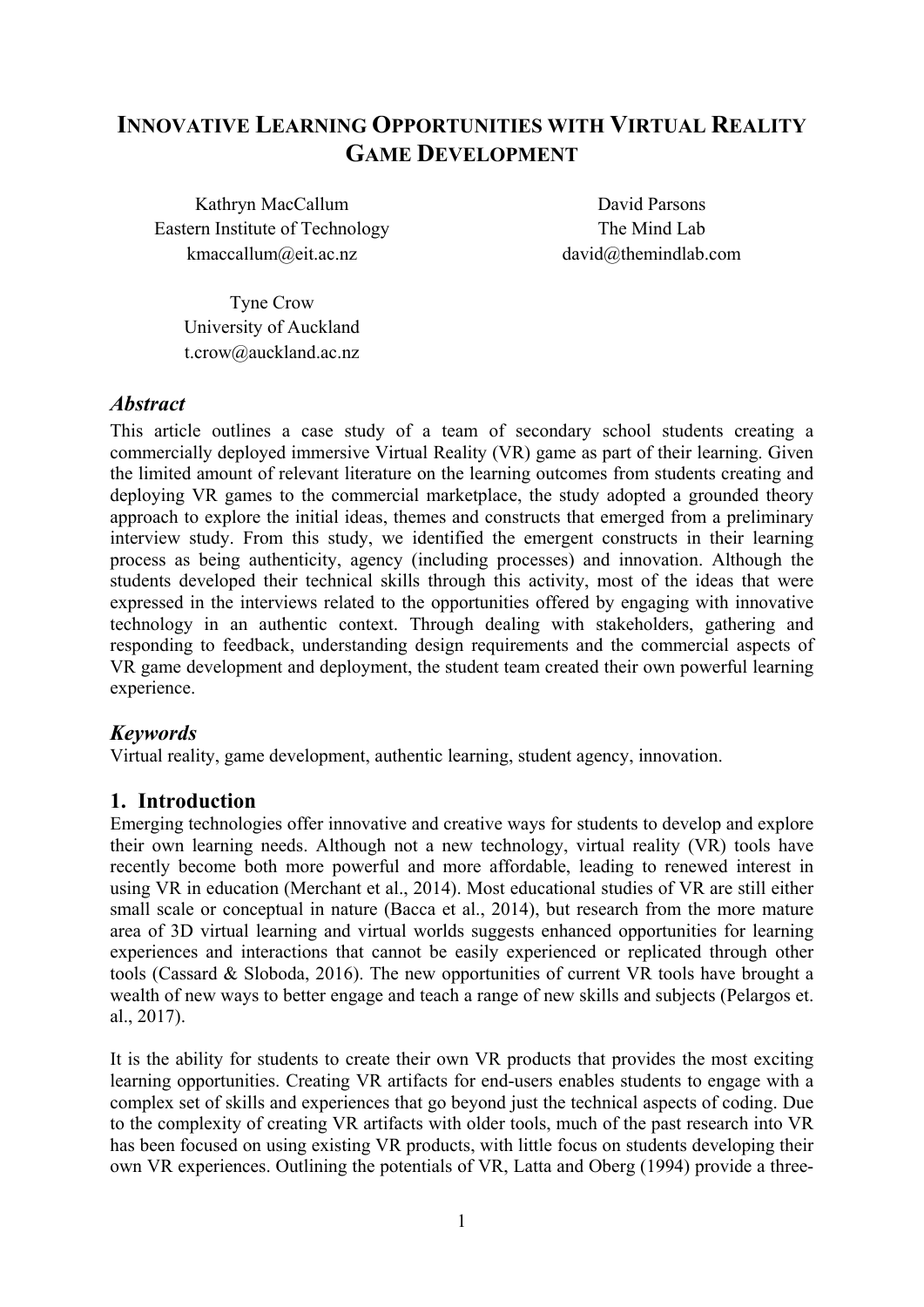# **INNOVATIVE LEARNING OPPORTUNITIES WITH VIRTUAL REALITY GAME DEVELOPMENT**

Kathryn MacCallum Eastern Institute of Technology kmaccallum@eit.ac.nz

David Parsons The Mind Lab david@themindlab.com

Tyne Crow University of Auckland t.crow@auckland.ac.nz

## *Abstract*

This article outlines a case study of a team of secondary school students creating a commercially deployed immersive Virtual Reality (VR) game as part of their learning. Given the limited amount of relevant literature on the learning outcomes from students creating and deploying VR games to the commercial marketplace, the study adopted a grounded theory approach to explore the initial ideas, themes and constructs that emerged from a preliminary interview study. From this study, we identified the emergent constructs in their learning process as being authenticity, agency (including processes) and innovation. Although the students developed their technical skills through this activity, most of the ideas that were expressed in the interviews related to the opportunities offered by engaging with innovative technology in an authentic context. Through dealing with stakeholders, gathering and responding to feedback, understanding design requirements and the commercial aspects of VR game development and deployment, the student team created their own powerful learning experience.

# *Keywords*

Virtual reality, game development, authentic learning, student agency, innovation.

# **1. Introduction**

Emerging technologies offer innovative and creative ways for students to develop and explore their own learning needs. Although not a new technology, virtual reality (VR) tools have recently become both more powerful and more affordable, leading to renewed interest in using VR in education (Merchant et al., 2014). Most educational studies of VR are still either small scale or conceptual in nature (Bacca et al., 2014), but research from the more mature area of 3D virtual learning and virtual worlds suggests enhanced opportunities for learning experiences and interactions that cannot be easily experienced or replicated through other tools (Cassard & Sloboda, 2016). The new opportunities of current VR tools have brought a wealth of new ways to better engage and teach a range of new skills and subjects (Pelargos et. al., 2017).

It is the ability for students to create their own VR products that provides the most exciting learning opportunities. Creating VR artifacts for end-users enables students to engage with a complex set of skills and experiences that go beyond just the technical aspects of coding. Due to the complexity of creating VR artifacts with older tools, much of the past research into VR has been focused on using existing VR products, with little focus on students developing their own VR experiences. Outlining the potentials of VR, Latta and Oberg (1994) provide a three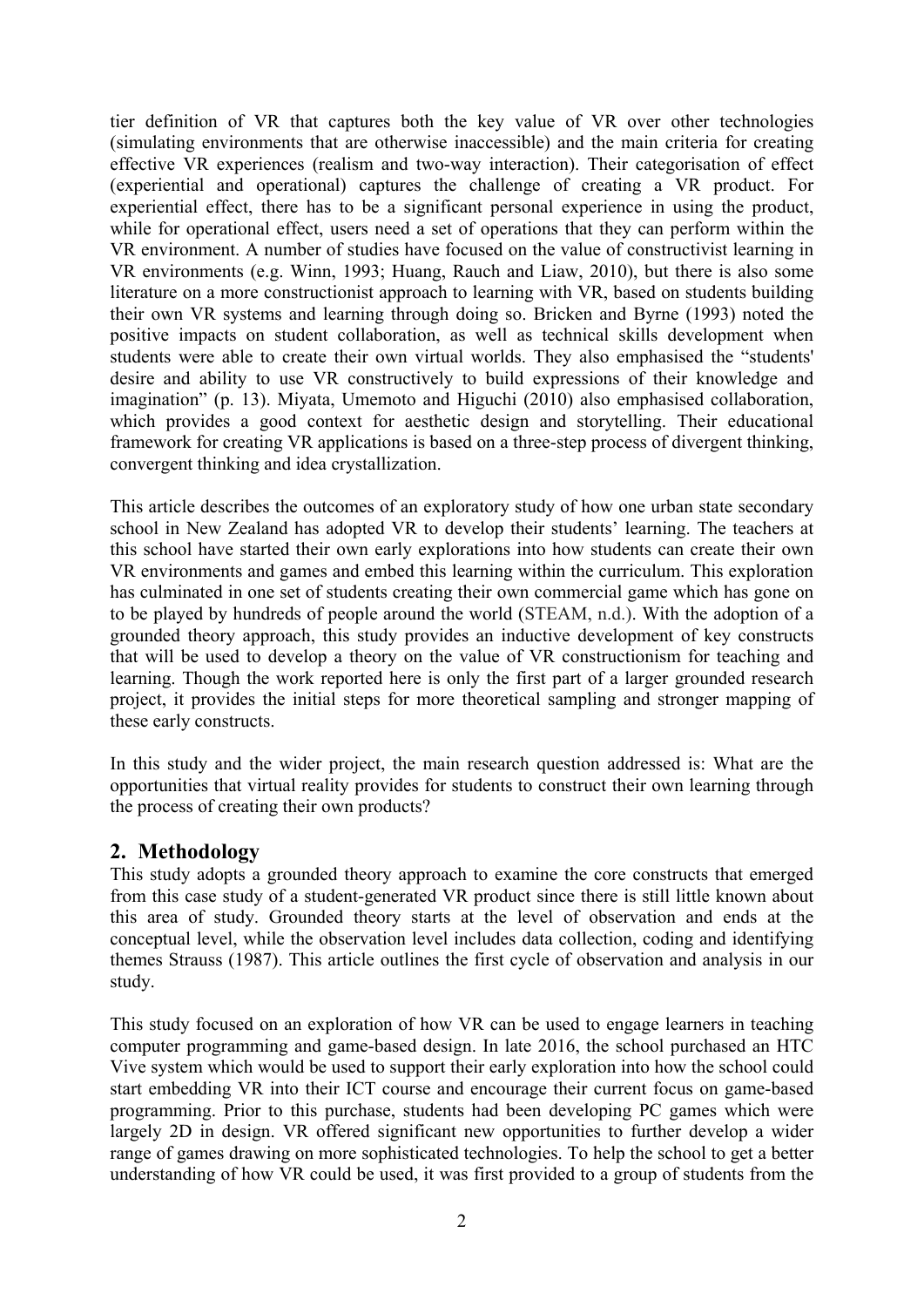tier definition of VR that captures both the key value of VR over other technologies (simulating environments that are otherwise inaccessible) and the main criteria for creating effective VR experiences (realism and two-way interaction). Their categorisation of effect (experiential and operational) captures the challenge of creating a VR product. For experiential effect, there has to be a significant personal experience in using the product, while for operational effect, users need a set of operations that they can perform within the VR environment. A number of studies have focused on the value of constructivist learning in VR environments (e.g. Winn, 1993; Huang, Rauch and Liaw, 2010), but there is also some literature on a more constructionist approach to learning with VR, based on students building their own VR systems and learning through doing so. Bricken and Byrne (1993) noted the positive impacts on student collaboration, as well as technical skills development when students were able to create their own virtual worlds. They also emphasised the "students' desire and ability to use VR constructively to build expressions of their knowledge and imagination" (p. 13). Miyata, Umemoto and Higuchi (2010) also emphasised collaboration, which provides a good context for aesthetic design and storytelling. Their educational framework for creating VR applications is based on a three-step process of divergent thinking, convergent thinking and idea crystallization.

This article describes the outcomes of an exploratory study of how one urban state secondary school in New Zealand has adopted VR to develop their students' learning. The teachers at this school have started their own early explorations into how students can create their own VR environments and games and embed this learning within the curriculum. This exploration has culminated in one set of students creating their own commercial game which has gone on to be played by hundreds of people around the world (STEAM, n.d.). With the adoption of a grounded theory approach, this study provides an inductive development of key constructs that will be used to develop a theory on the value of VR constructionism for teaching and learning. Though the work reported here is only the first part of a larger grounded research project, it provides the initial steps for more theoretical sampling and stronger mapping of these early constructs.

In this study and the wider project, the main research question addressed is: What are the opportunities that virtual reality provides for students to construct their own learning through the process of creating their own products?

# **2. Methodology**

This study adopts a grounded theory approach to examine the core constructs that emerged from this case study of a student-generated VR product since there is still little known about this area of study. Grounded theory starts at the level of observation and ends at the conceptual level, while the observation level includes data collection, coding and identifying themes Strauss (1987). This article outlines the first cycle of observation and analysis in our study.

This study focused on an exploration of how VR can be used to engage learners in teaching computer programming and game-based design. In late 2016, the school purchased an HTC Vive system which would be used to support their early exploration into how the school could start embedding VR into their ICT course and encourage their current focus on game-based programming. Prior to this purchase, students had been developing PC games which were largely 2D in design. VR offered significant new opportunities to further develop a wider range of games drawing on more sophisticated technologies. To help the school to get a better understanding of how VR could be used, it was first provided to a group of students from the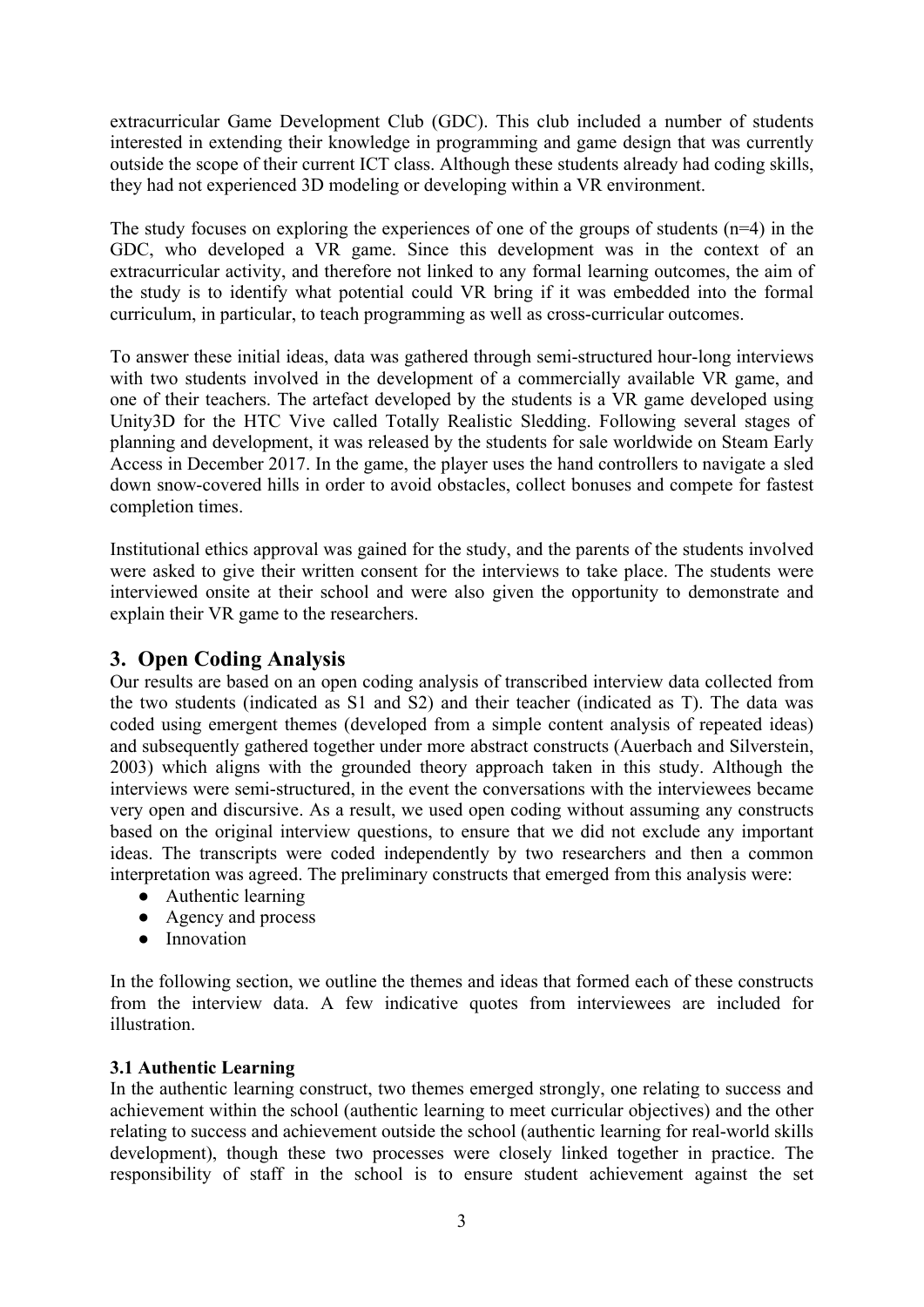extracurricular Game Development Club (GDC). This club included a number of students interested in extending their knowledge in programming and game design that was currently outside the scope of their current ICT class. Although these students already had coding skills, they had not experienced 3D modeling or developing within a VR environment.

The study focuses on exploring the experiences of one of the groups of students  $(n=4)$  in the GDC, who developed a VR game. Since this development was in the context of an extracurricular activity, and therefore not linked to any formal learning outcomes, the aim of the study is to identify what potential could VR bring if it was embedded into the formal curriculum, in particular, to teach programming as well as cross-curricular outcomes.

To answer these initial ideas, data was gathered through semi-structured hour-long interviews with two students involved in the development of a commercially available VR game, and one of their teachers. The artefact developed by the students is a VR game developed using Unity3D for the HTC Vive called Totally Realistic Sledding. Following several stages of planning and development, it was released by the students for sale worldwide on Steam Early Access in December 2017. In the game, the player uses the hand controllers to navigate a sled down snow-covered hills in order to avoid obstacles, collect bonuses and compete for fastest completion times.

Institutional ethics approval was gained for the study, and the parents of the students involved were asked to give their written consent for the interviews to take place. The students were interviewed onsite at their school and were also given the opportunity to demonstrate and explain their VR game to the researchers.

# **3. Open Coding Analysis**

Our results are based on an open coding analysis of transcribed interview data collected from the two students (indicated as S1 and S2) and their teacher (indicated as T). The data was coded using emergent themes (developed from a simple content analysis of repeated ideas) and subsequently gathered together under more abstract constructs (Auerbach and Silverstein, 2003) which aligns with the grounded theory approach taken in this study. Although the interviews were semi-structured, in the event the conversations with the interviewees became very open and discursive. As a result, we used open coding without assuming any constructs based on the original interview questions, to ensure that we did not exclude any important ideas. The transcripts were coded independently by two researchers and then a common interpretation was agreed. The preliminary constructs that emerged from this analysis were:

- Authentic learning
- Agency and process
- Innovation

In the following section, we outline the themes and ideas that formed each of these constructs from the interview data. A few indicative quotes from interviewees are included for illustration.

## **3.1 Authentic Learning**

In the authentic learning construct, two themes emerged strongly, one relating to success and achievement within the school (authentic learning to meet curricular objectives) and the other relating to success and achievement outside the school (authentic learning for real-world skills development), though these two processes were closely linked together in practice. The responsibility of staff in the school is to ensure student achievement against the set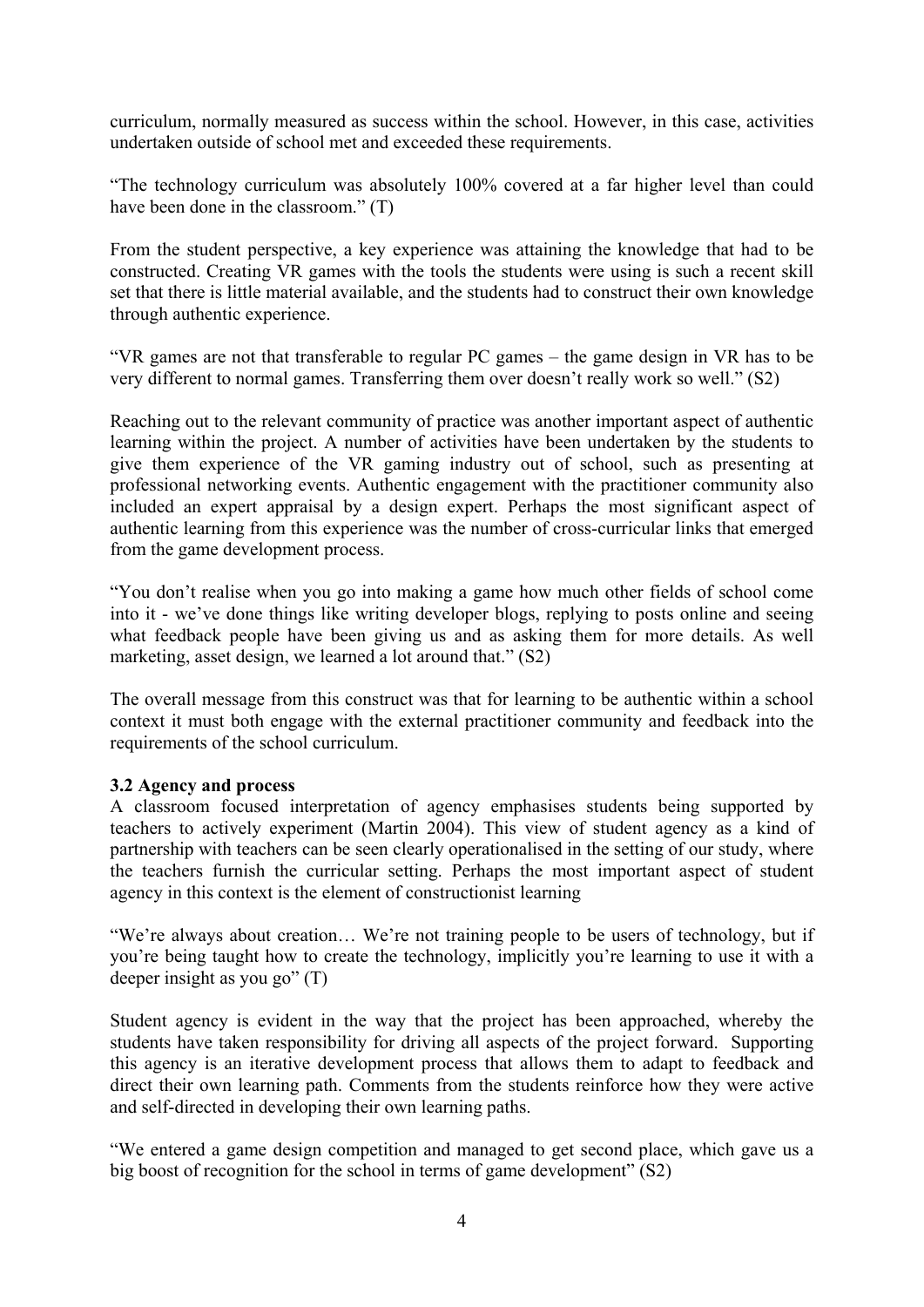curriculum, normally measured as success within the school. However, in this case, activities undertaken outside of school met and exceeded these requirements.

"The technology curriculum was absolutely 100% covered at a far higher level than could have been done in the classroom." (T)

From the student perspective, a key experience was attaining the knowledge that had to be constructed. Creating VR games with the tools the students were using is such a recent skill set that there is little material available, and the students had to construct their own knowledge through authentic experience.

"VR games are not that transferable to regular PC games – the game design in VR has to be very different to normal games. Transferring them over doesn't really work so well." (S2)

Reaching out to the relevant community of practice was another important aspect of authentic learning within the project. A number of activities have been undertaken by the students to give them experience of the VR gaming industry out of school, such as presenting at professional networking events. Authentic engagement with the practitioner community also included an expert appraisal by a design expert. Perhaps the most significant aspect of authentic learning from this experience was the number of cross-curricular links that emerged from the game development process.

"You don't realise when you go into making a game how much other fields of school come into it - we've done things like writing developer blogs, replying to posts online and seeing what feedback people have been giving us and as asking them for more details. As well marketing, asset design, we learned a lot around that." (S2)

The overall message from this construct was that for learning to be authentic within a school context it must both engage with the external practitioner community and feedback into the requirements of the school curriculum.

## **3.2 Agency and process**

A classroom focused interpretation of agency emphasises students being supported by teachers to actively experiment (Martin 2004). This view of student agency as a kind of partnership with teachers can be seen clearly operationalised in the setting of our study, where the teachers furnish the curricular setting. Perhaps the most important aspect of student agency in this context is the element of constructionist learning

"We're always about creation… We're not training people to be users of technology, but if you're being taught how to create the technology, implicitly you're learning to use it with a deeper insight as you go" (T)

Student agency is evident in the way that the project has been approached, whereby the students have taken responsibility for driving all aspects of the project forward. Supporting this agency is an iterative development process that allows them to adapt to feedback and direct their own learning path. Comments from the students reinforce how they were active and self-directed in developing their own learning paths.

"We entered a game design competition and managed to get second place, which gave us a big boost of recognition for the school in terms of game development" (S2)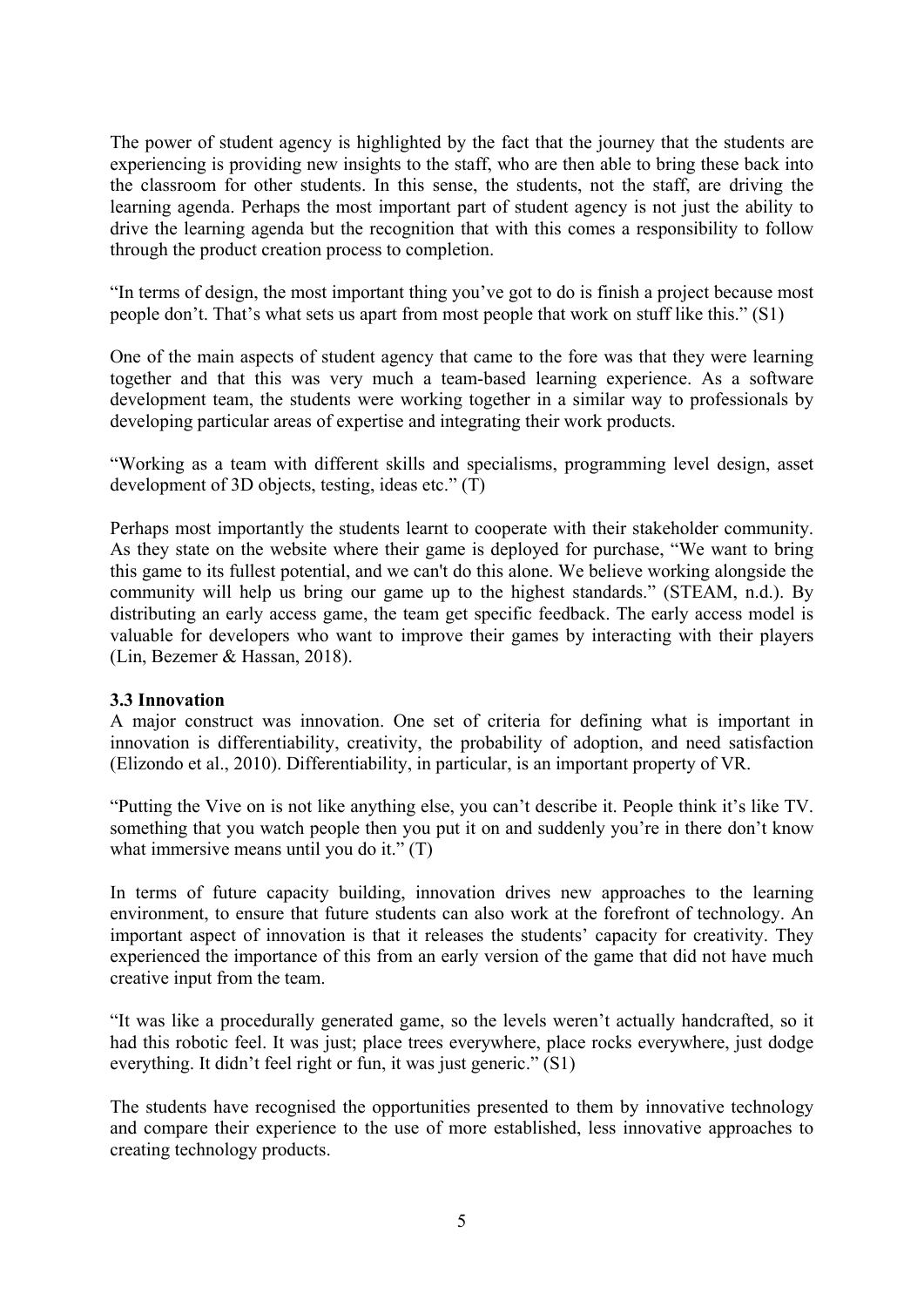The power of student agency is highlighted by the fact that the journey that the students are experiencing is providing new insights to the staff, who are then able to bring these back into the classroom for other students. In this sense, the students, not the staff, are driving the learning agenda. Perhaps the most important part of student agency is not just the ability to drive the learning agenda but the recognition that with this comes a responsibility to follow through the product creation process to completion.

"In terms of design, the most important thing you've got to do is finish a project because most people don't. That's what sets us apart from most people that work on stuff like this." (S1)

One of the main aspects of student agency that came to the fore was that they were learning together and that this was very much a team-based learning experience. As a software development team, the students were working together in a similar way to professionals by developing particular areas of expertise and integrating their work products.

"Working as a team with different skills and specialisms, programming level design, asset development of 3D objects, testing, ideas etc." (T)

Perhaps most importantly the students learnt to cooperate with their stakeholder community. As they state on the website where their game is deployed for purchase, "We want to bring this game to its fullest potential, and we can't do this alone. We believe working alongside the community will help us bring our game up to the highest standards." (STEAM, n.d.). By distributing an early access game, the team get specific feedback. The early access model is valuable for developers who want to improve their games by interacting with their players (Lin, Bezemer & Hassan, 2018).

#### **3.3 Innovation**

A major construct was innovation. One set of criteria for defining what is important in innovation is differentiability, creativity, the probability of adoption, and need satisfaction (Elizondo et al., 2010). Differentiability, in particular, is an important property of VR.

"Putting the Vive on is not like anything else, you can't describe it. People think it's like TV. something that you watch people then you put it on and suddenly you're in there don't know what immersive means until you do it." (T)

In terms of future capacity building, innovation drives new approaches to the learning environment, to ensure that future students can also work at the forefront of technology. An important aspect of innovation is that it releases the students' capacity for creativity. They experienced the importance of this from an early version of the game that did not have much creative input from the team.

"It was like a procedurally generated game, so the levels weren't actually handcrafted, so it had this robotic feel. It was just; place trees everywhere, place rocks everywhere, just dodge everything. It didn't feel right or fun, it was just generic." (S1)

The students have recognised the opportunities presented to them by innovative technology and compare their experience to the use of more established, less innovative approaches to creating technology products.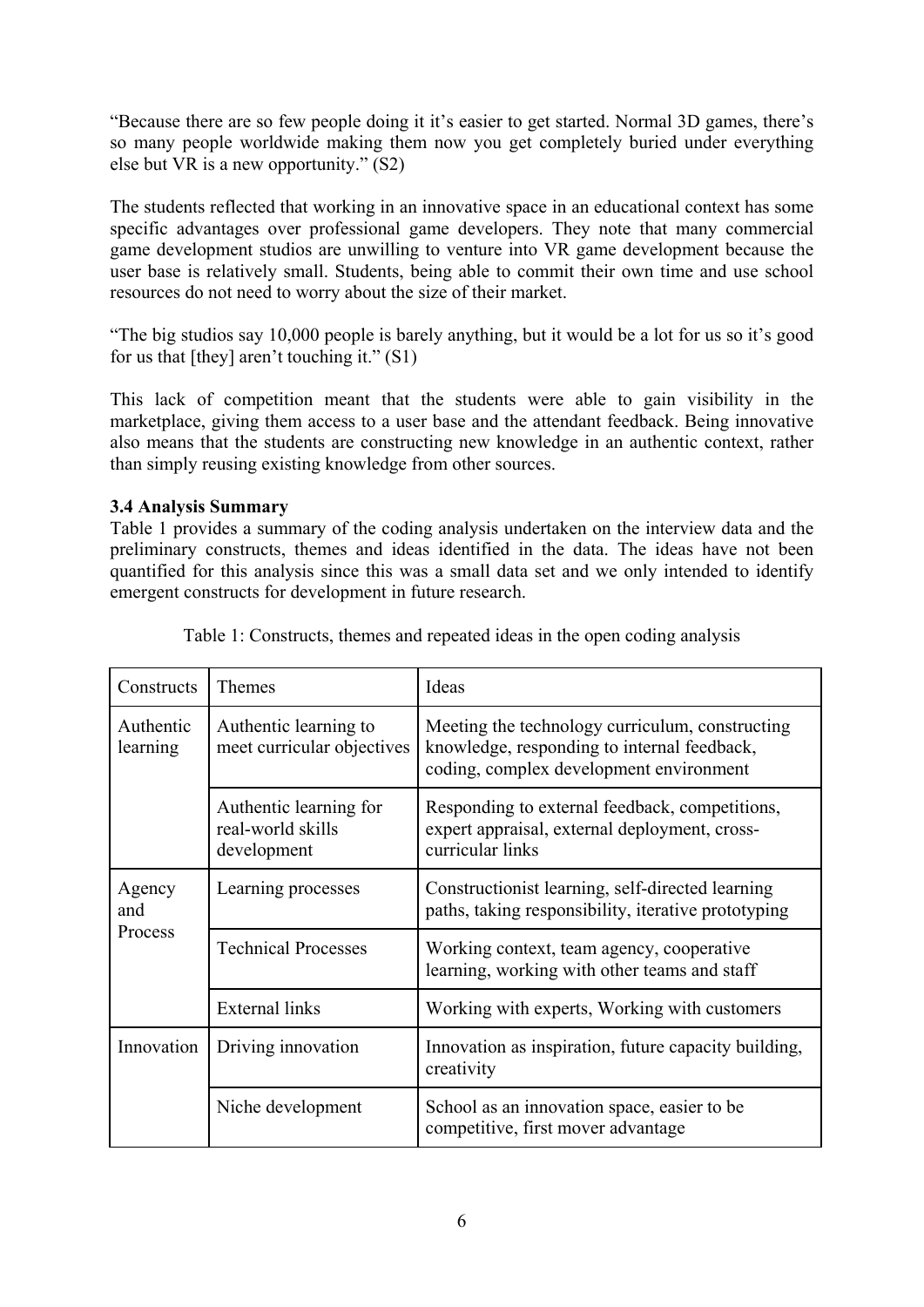"Because there are so few people doing it it's easier to get started. Normal 3D games, there's so many people worldwide making them now you get completely buried under everything else but VR is a new opportunity." (S2)

The students reflected that working in an innovative space in an educational context has some specific advantages over professional game developers. They note that many commercial game development studios are unwilling to venture into VR game development because the user base is relatively small. Students, being able to commit their own time and use school resources do not need to worry about the size of their market.

"The big studios say 10,000 people is barely anything, but it would be a lot for us so it's good for us that [they] aren't touching it." (S1)

This lack of competition meant that the students were able to gain visibility in the marketplace, giving them access to a user base and the attendant feedback. Being innovative also means that the students are constructing new knowledge in an authentic context, rather than simply reusing existing knowledge from other sources.

## **3.4 Analysis Summary**

Table 1 provides a summary of the coding analysis undertaken on the interview data and the preliminary constructs, themes and ideas identified in the data. The ideas have not been quantified for this analysis since this was a small data set and we only intended to identify emergent constructs for development in future research.

| Constructs               | <b>Themes</b>                                              | Ideas                                                                                                                                     |
|--------------------------|------------------------------------------------------------|-------------------------------------------------------------------------------------------------------------------------------------------|
| Authentic<br>learning    | Authentic learning to<br>meet curricular objectives        | Meeting the technology curriculum, constructing<br>knowledge, responding to internal feedback,<br>coding, complex development environment |
|                          | Authentic learning for<br>real-world skills<br>development | Responding to external feedback, competitions,<br>expert appraisal, external deployment, cross-<br>curricular links                       |
| Agency<br>and<br>Process | Learning processes                                         | Constructionist learning, self-directed learning<br>paths, taking responsibility, iterative prototyping                                   |
|                          | <b>Technical Processes</b>                                 | Working context, team agency, cooperative<br>learning, working with other teams and staff                                                 |
|                          | <b>External links</b>                                      | Working with experts, Working with customers                                                                                              |
| Innovation               | Driving innovation                                         | Innovation as inspiration, future capacity building,<br>creativity                                                                        |
|                          | Niche development                                          | School as an innovation space, easier to be<br>competitive, first mover advantage                                                         |

Table 1: Constructs, themes and repeated ideas in the open coding analysis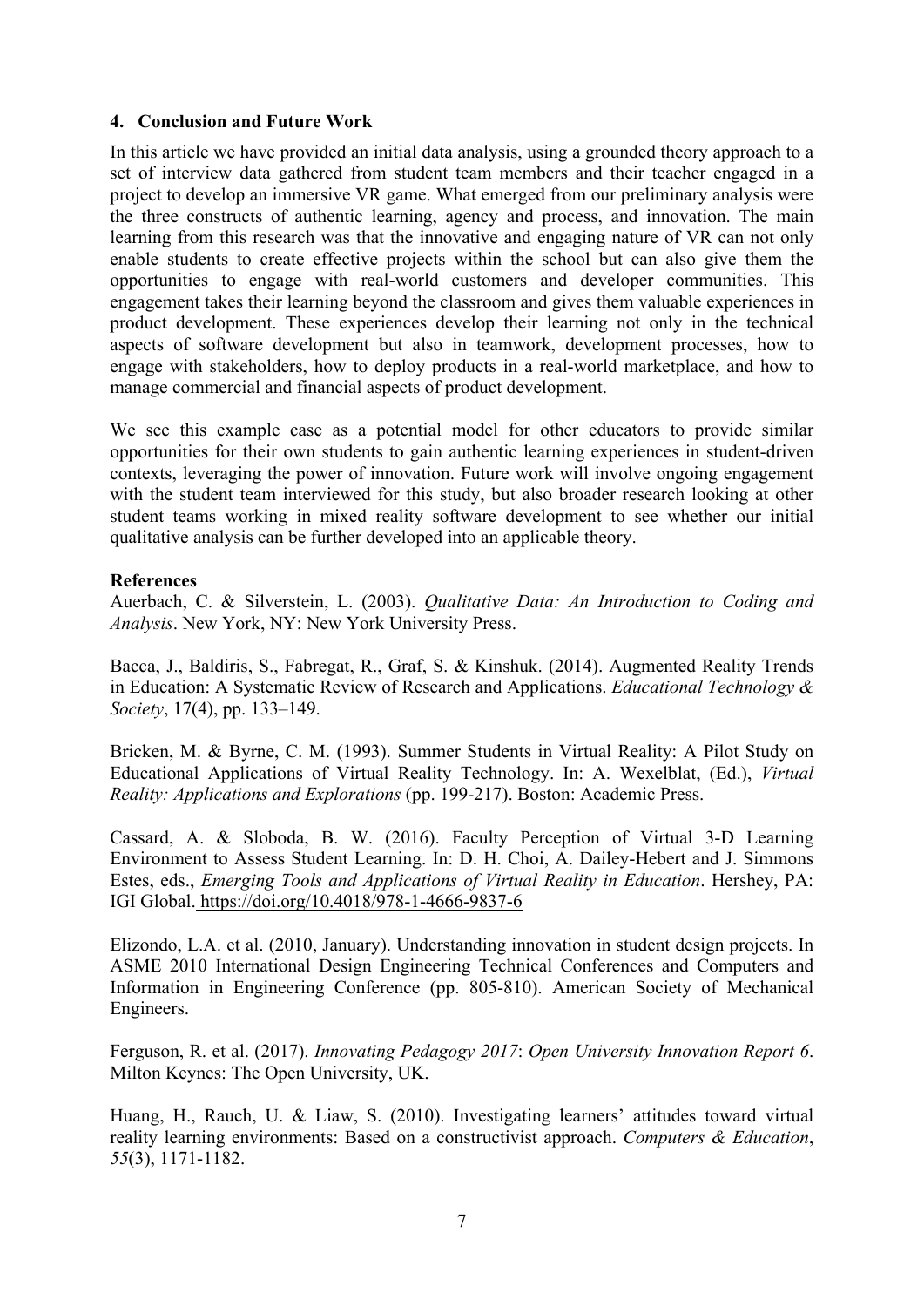#### **4. Conclusion and Future Work**

In this article we have provided an initial data analysis, using a grounded theory approach to a set of interview data gathered from student team members and their teacher engaged in a project to develop an immersive VR game. What emerged from our preliminary analysis were the three constructs of authentic learning, agency and process, and innovation. The main learning from this research was that the innovative and engaging nature of VR can not only enable students to create effective projects within the school but can also give them the opportunities to engage with real-world customers and developer communities. This engagement takes their learning beyond the classroom and gives them valuable experiences in product development. These experiences develop their learning not only in the technical aspects of software development but also in teamwork, development processes, how to engage with stakeholders, how to deploy products in a real-world marketplace, and how to manage commercial and financial aspects of product development.

We see this example case as a potential model for other educators to provide similar opportunities for their own students to gain authentic learning experiences in student-driven contexts, leveraging the power of innovation. Future work will involve ongoing engagement with the student team interviewed for this study, but also broader research looking at other student teams working in mixed reality software development to see whether our initial qualitative analysis can be further developed into an applicable theory.

#### **References**

Auerbach, C. & Silverstein, L. (2003). *Qualitative Data: An Introduction to Coding and Analysis*. New York, NY: New York University Press.

Bacca, J., Baldiris, S., Fabregat, R., Graf, S. & Kinshuk. (2014). Augmented Reality Trends in Education: A Systematic Review of Research and Applications. *Educational Technology & Society*, 17(4), pp. 133–149.

Bricken, M. & Byrne, C. M. (1993). Summer Students in Virtual Reality: A Pilot Study on Educational Applications of Virtual Reality Technology. In: A. Wexelblat, (Ed.), *Virtual Reality: Applications and Explorations* (pp. 199-217). Boston: Academic Press.

Cassard, A. & Sloboda, B. W. (2016). Faculty Perception of Virtual 3-D Learning Environment to Assess Student Learning. In: D. H. Choi, A. Dailey-Hebert and J. Simmons Estes, eds., *Emerging Tools and Applications of Virtual Reality in Education*. Hershey, PA: IGI Global. <https://doi.org/10.4018/978-1-4666-9837-6>

Elizondo, L.A. et al. (2010, January). Understanding innovation in student design projects. In ASME 2010 International Design Engineering Technical Conferences and Computers and Information in Engineering Conference (pp. 805-810). American Society of Mechanical Engineers.

Ferguson, R. et al. (2017). *Innovating Pedagogy 2017*: *Open University Innovation Report 6*. Milton Keynes: The Open University, UK.

Huang, H., Rauch, U. & Liaw, S. (2010). Investigating learners' attitudes toward virtual reality learning environments: Based on a constructivist approach. *Computers & Education*, *55*(3), 1171-1182.